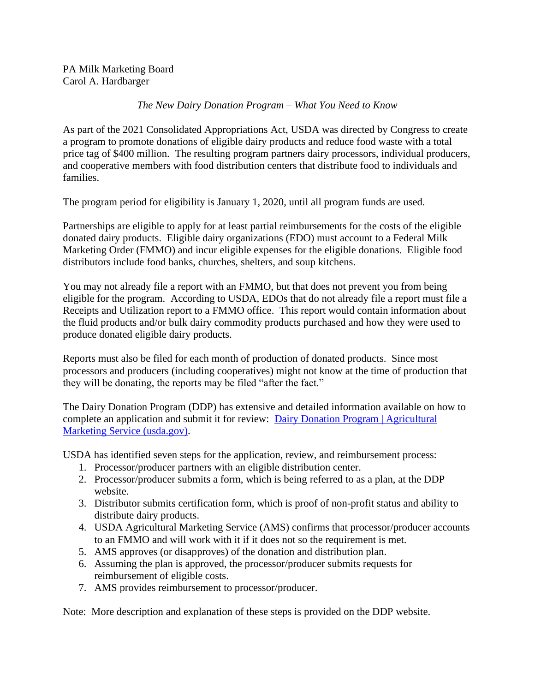PA Milk Marketing Board Carol A. Hardbarger

## *The New Dairy Donation Program – What You Need to Know*

As part of the 2021 Consolidated Appropriations Act, USDA was directed by Congress to create a program to promote donations of eligible dairy products and reduce food waste with a total price tag of \$400 million. The resulting program partners dairy processors, individual producers, and cooperative members with food distribution centers that distribute food to individuals and families.

The program period for eligibility is January 1, 2020, until all program funds are used.

Partnerships are eligible to apply for at least partial reimbursements for the costs of the eligible donated dairy products. Eligible dairy organizations (EDO) must account to a Federal Milk Marketing Order (FMMO) and incur eligible expenses for the eligible donations. Eligible food distributors include food banks, churches, shelters, and soup kitchens.

You may not already file a report with an FMMO, but that does not prevent you from being eligible for the program. According to USDA, EDOs that do not already file a report must file a Receipts and Utilization report to a FMMO office. This report would contain information about the fluid products and/or bulk dairy commodity products purchased and how they were used to produce donated eligible dairy products.

Reports must also be filed for each month of production of donated products. Since most processors and producers (including cooperatives) might not know at the time of production that they will be donating, the reports may be filed "after the fact."

The Dairy Donation Program (DDP) has extensive and detailed information available on how to complete an application and submit it for review: [Dairy Donation Program | Agricultural](https://www.ams.usda.gov/services/ddp)  [Marketing Service \(usda.gov\).](https://www.ams.usda.gov/services/ddp)

USDA has identified seven steps for the application, review, and reimbursement process:

- 1. Processor/producer partners with an eligible distribution center.
- 2. Processor/producer submits a form, which is being referred to as a plan, at the DDP website.
- 3. Distributor submits certification form, which is proof of non-profit status and ability to distribute dairy products.
- 4. USDA Agricultural Marketing Service (AMS) confirms that processor/producer accounts to an FMMO and will work with it if it does not so the requirement is met.
- 5. AMS approves (or disapproves) of the donation and distribution plan.
- 6. Assuming the plan is approved, the processor/producer submits requests for reimbursement of eligible costs.
- 7. AMS provides reimbursement to processor/producer.

Note: More description and explanation of these steps is provided on the DDP website.